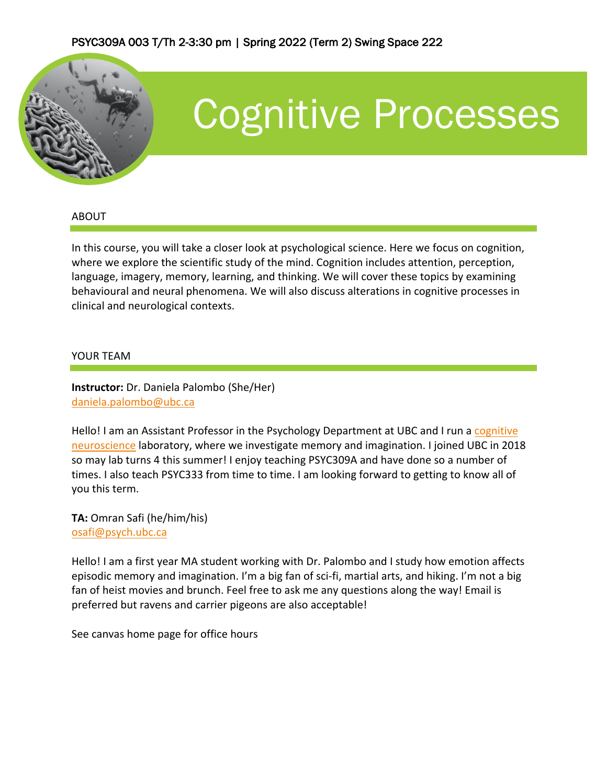

# Cognitive Processes

#### ABOUT

In this course, you will take a closer look at psychological science. Here we focus on cognition, where we explore the scientific study of the mind. Cognition includes attention, perception, language, imagery, memory, learning, and thinking. We will cover these topics by examining behavioural and neural phenomena. We will also discuss alterations in cognitive processes in clinical and neurological contexts.

#### YOUR TEAM

**Instructor:** Dr. Daniela Palombo (She/Her) daniela.palombo@ubc.ca

Hello! I am an Assistant Professor in the Psychology Department at UBC and I run a cognitive neuroscience laboratory, where we investigate memory and imagination. I joined UBC in 2018 so may lab turns 4 this summer! I enjoy teaching PSYC309A and have done so a number of times. I also teach PSYC333 from time to time. I am looking forward to getting to know all of you this term.

**TA:** Omran Safi (he/him/his) osafi@psych.ubc.ca

Hello! I am a first year MA student working with Dr. Palombo and I study how emotion affects episodic memory and imagination. I'm a big fan of sci-fi, martial arts, and hiking. I'm not a big fan of heist movies and brunch. Feel free to ask me any questions along the way! Email is preferred but ravens and carrier pigeons are also acceptable!

See canvas home page for office hours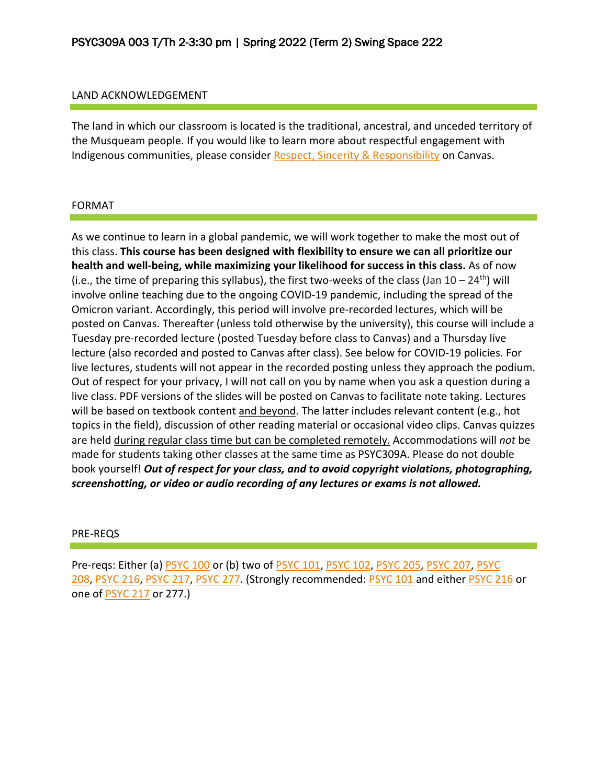#### LAND ACKNOWLEDGEMENT

The land in which our classroom is located is the traditional, ancestral, and unceded territory of the Musqueam people. If you would like to learn more about respectful engagement with Indigenous communities, please consider Respect, Sincerity & Responsibility on Canvas.

#### FORMAT

As we continue to learn in a global pandemic, we will work together to make the most out of this class. **This course has been designed with flexibility to ensure we can all prioritize our health and well-being, while maximizing your likelihood for success in this class.** As of now (i.e., the time of preparing this syllabus), the first two-weeks of the class (Jan  $10-24^{\text{th}}$ ) will involve online teaching due to the ongoing COVID-19 pandemic, including the spread of the Omicron variant. Accordingly, this period will involve pre-recorded lectures, which will be posted on Canvas. Thereafter (unless told otherwise by the university), this course will include a Tuesday pre-recorded lecture (posted Tuesday before class to Canvas) and a Thursday live lecture (also recorded and posted to Canvas after class). See below for COVID-19 policies. For live lectures, students will not appear in the recorded posting unless they approach the podium. Out of respect for your privacy, I will not call on you by name when you ask a question during a live class. PDF versions of the slides will be posted on Canvas to facilitate note taking. Lectures will be based on textbook content and beyond. The latter includes relevant content (e.g., hot topics in the field), discussion of other reading material or occasional video clips. Canvas quizzes are held during regular class time but can be completed remotely. Accommodations will *not* be made for students taking other classes at the same time as PSYC309A. Please do not double book yourself! *Out of respect for your class, and to avoid copyright violations, photographing, screenshotting, or video or audio recording of any lectures or exams is not allowed.*

#### PRE-REQS

Pre-reqs: Either (a) PSYC 100 or (b) two of PSYC 101, PSYC 102, PSYC 205, PSYC 207, PSYC 208, PSYC 216, PSYC 217, PSYC 277. (Strongly recommended: PSYC 101 and either PSYC 216 or one of PSYC 217 or 277.)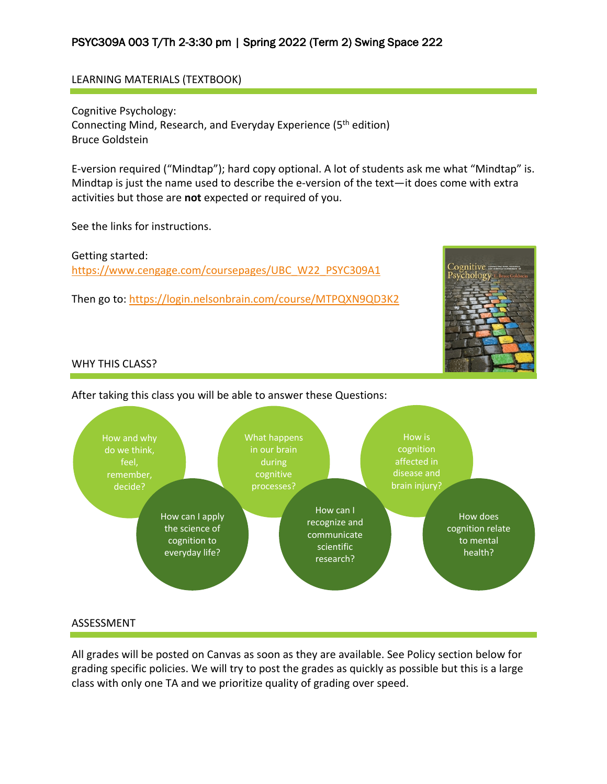#### LEARNING MATERIALS (TEXTBOOK)

Cognitive Psychology: Connecting Mind, Research, and Everyday Experience (5<sup>th</sup> edition) Bruce Goldstein

E-version required ("Mindtap"); hard copy optional. A lot of students ask me what "Mindtap" is. Mindtap is just the name used to describe the e-version of the text—it does come with extra activities but those are **not** expected or required of you.

See the links for instructions.

Getting started: https://www.cengage.com/coursepages/UBC\_W22\_PSYC309A1

Then go to: https://login.nelsonbrain.com/course/MTPQXN9QD3K2



#### WHY THIS CLASS?





#### ASSESSMENT

All grades will be posted on Canvas as soon as they are available. See Policy section below for grading specific policies. We will try to post the grades as quickly as possible but this is a large class with only one TA and we prioritize quality of grading over speed.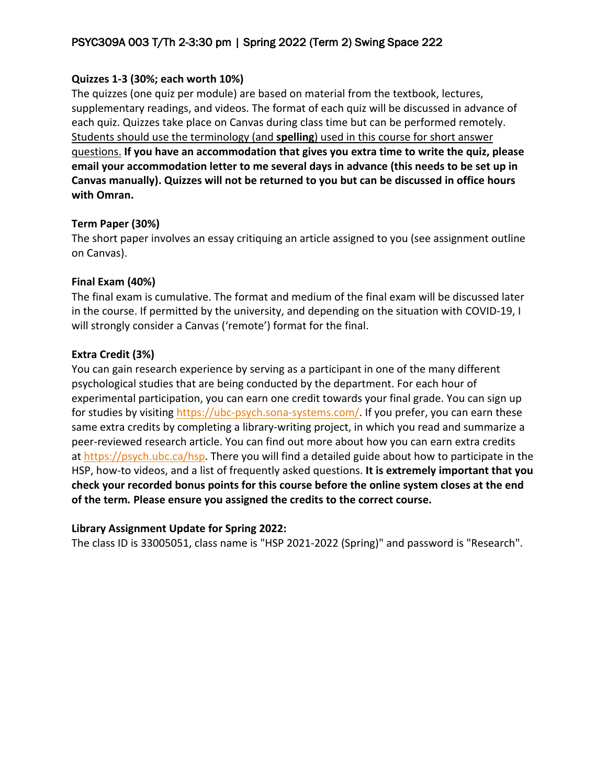### **Quizzes 1-3 (30%; each worth 10%)**

The quizzes (one quiz per module) are based on material from the textbook, lectures, supplementary readings, and videos. The format of each quiz will be discussed in advance of each quiz. Quizzes take place on Canvas during class time but can be performed remotely. Students should use the terminology (and **spelling**) used in this course for short answer questions. **If you have an accommodation that gives you extra time to write the quiz, please email your accommodation letter to me several days in advance (this needs to be set up in Canvas manually). Quizzes will not be returned to you but can be discussed in office hours with Omran.**

#### **Term Paper (30%)**

The short paper involves an essay critiquing an article assigned to you (see assignment outline on Canvas).

#### **Final Exam (40%)**

The final exam is cumulative. The format and medium of the final exam will be discussed later in the course. If permitted by the university, and depending on the situation with COVID-19, I will strongly consider a Canvas ('remote') format for the final.

#### **Extra Credit (3%)**

You can gain research experience by serving as a participant in one of the many different psychological studies that are being conducted by the department. For each hour of experimental participation, you can earn one credit towards your final grade. You can sign up for studies by visiting https://ubc-psych.sona-systems.com/. If you prefer, you can earn these same extra credits by completing a library-writing project, in which you read and summarize a peer-reviewed research article. You can find out more about how you can earn extra credits at https://psych.ubc.ca/hsp. There you will find a detailed guide about how to participate in the HSP, how-to videos, and a list of frequently asked questions. **It is extremely important that you check your recorded bonus points for this course before the online system closes at the end of the term***.* **Please ensure you assigned the credits to the correct course.**

# **Library Assignment Update for Spring 2022:**

The class ID is 33005051, class name is "HSP 2021-2022 (Spring)" and password is "Research".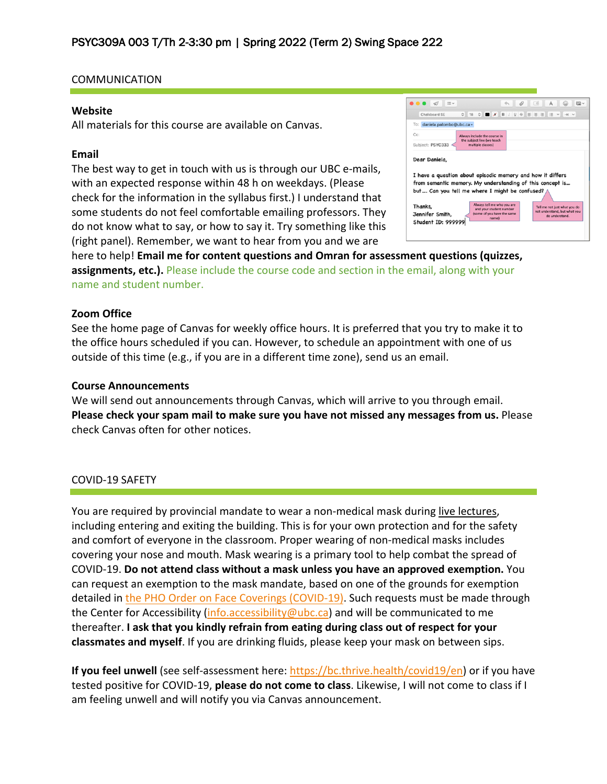#### COMMUNICATION

#### **Website**

All materials for this course are available on Canvas.

#### **Email**

The best way to get in touch with us is through our UBC e-mails, with an expected response within 48 h on weekdays. (Please check for the information in the syllabus first.) I understand that some students do not feel comfortable emailing professors. They do not know what to say, or how to say it. Try something like this (right panel). Remember, we want to hear from you and we are

| Chalkboard SE                   | $\circ$ $\blacksquare$ $\blacksquare$ $\blacksquare$ $\blacksquare$ $\blacksquare$ $\blacksquare$ $\blacksquare$ $\blacksquare$ $\blacksquare$ $\blacksquare$ $\blacksquare$ $\blacksquare$ $\blacksquare$ $\blacksquare$ $\blacksquare$ $\blacksquare$<br>這<br>$\frac{6}{18}$<br>$\checkmark$<br>$\rightarrow$ $\rightarrow$ |
|---------------------------------|-------------------------------------------------------------------------------------------------------------------------------------------------------------------------------------------------------------------------------------------------------------------------------------------------------------------------------|
| To:<br>daniela.palombo@ubc.ca ~ |                                                                                                                                                                                                                                                                                                                               |
| $Cc$ :<br>Subject: PSYC333      | Always include the course in<br>the subject line (we teach<br>multiple classes)                                                                                                                                                                                                                                               |
|                                 |                                                                                                                                                                                                                                                                                                                               |
|                                 |                                                                                                                                                                                                                                                                                                                               |
|                                 | I have a question about episodic memory and how it differs                                                                                                                                                                                                                                                                    |
|                                 | from semantic memory. My understanding of this concept is                                                                                                                                                                                                                                                                     |
|                                 | but Can you tell me where I might be confused?                                                                                                                                                                                                                                                                                |
| Dear Daniela,<br>Thanks,        | Always tell me who you are<br>Tell me not just what you do<br>and your student number<br>not understand, but what you                                                                                                                                                                                                         |

here to help! **Email me for content questions and Omran for assessment questions (quizzes, assignments, etc.).** Please include the course code and section in the email, along with your name and student number.

#### **Zoom Office**

See the home page of Canvas for weekly office hours. It is preferred that you try to make it to the office hours scheduled if you can. However, to schedule an appointment with one of us outside of this time (e.g., if you are in a different time zone), send us an email.

#### **Course Announcements**

We will send out announcements through Canvas, which will arrive to you through email. **Please check your spam mail to make sure you have not missed any messages from us.** Please check Canvas often for other notices.

#### COVID-19 SAFETY

You are required by provincial mandate to wear a non-medical mask during live lectures, including entering and exiting the building. This is for your own protection and for the safety and comfort of everyone in the classroom. Proper wearing of non-medical masks includes covering your nose and mouth. Mask wearing is a primary tool to help combat the spread of COVID-19. **Do not attend class without a mask unless you have an approved exemption.** You can request an exemption to the mask mandate, based on one of the grounds for exemption detailed in the PHO Order on Face Coverings (COVID-19). Such requests must be made through the Center for Accessibility (info.accessibility@ubc.ca) and will be communicated to me thereafter. **I ask that you kindly refrain from eating during class out of respect for your classmates and myself**. If you are drinking fluids, please keep your mask on between sips.

**If you feel unwell** (see self-assessment here: https://bc.thrive.health/covid19/en) or if you have tested positive for COVID-19, **please do not come to class**. Likewise, I will not come to class if I am feeling unwell and will notify you via Canvas announcement.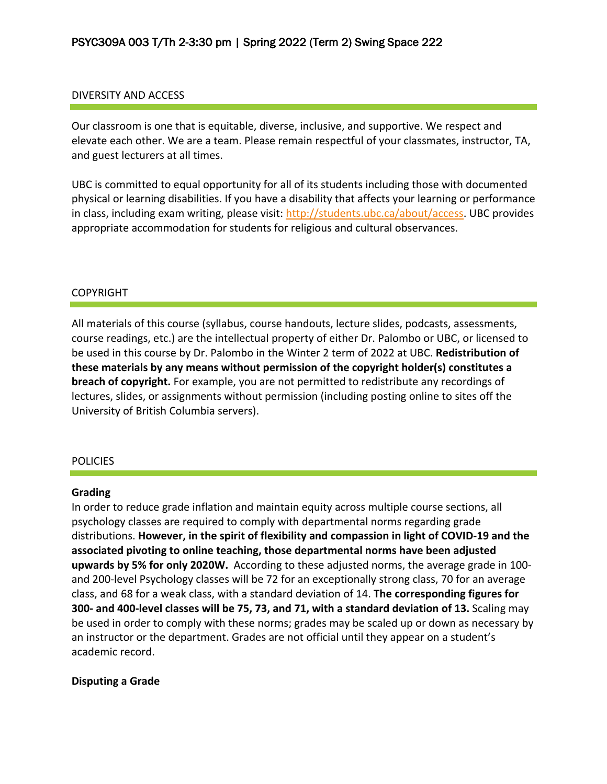#### DIVERSITY AND ACCESS

Our classroom is one that is equitable, diverse, inclusive, and supportive. We respect and elevate each other. We are a team. Please remain respectful of your classmates, instructor, TA, and guest lecturers at all times.

UBC is committed to equal opportunity for all of its students including those with documented physical or learning disabilities. If you have a disability that affects your learning or performance in class, including exam writing, please visit: http://students.ubc.ca/about/access. UBC provides appropriate accommodation for students for religious and cultural observances.

#### COPYRIGHT

All materials of this course (syllabus, course handouts, lecture slides, podcasts, assessments, course readings, etc.) are the intellectual property of either Dr. Palombo or UBC, or licensed to be used in this course by Dr. Palombo in the Winter 2 term of 2022 at UBC. **Redistribution of these materials by any means without permission of the copyright holder(s) constitutes a breach of copyright.** For example, you are not permitted to redistribute any recordings of lectures, slides, or assignments without permission (including posting online to sites off the University of British Columbia servers).

#### **POLICIES**

#### **Grading**

In order to reduce grade inflation and maintain equity across multiple course sections, all psychology classes are required to comply with departmental norms regarding grade distributions. **However, in the spirit of flexibility and compassion in light of COVID-19 and the associated pivoting to online teaching, those departmental norms have been adjusted upwards by 5% for only 2020W.** According to these adjusted norms, the average grade in 100 and 200-level Psychology classes will be 72 for an exceptionally strong class, 70 for an average class, and 68 for a weak class, with a standard deviation of 14. **The corresponding figures for 300- and 400-level classes will be 75, 73, and 71, with a standard deviation of 13.** Scaling may be used in order to comply with these norms; grades may be scaled up or down as necessary by an instructor or the department. Grades are not official until they appear on a student's academic record.

#### **Disputing a Grade**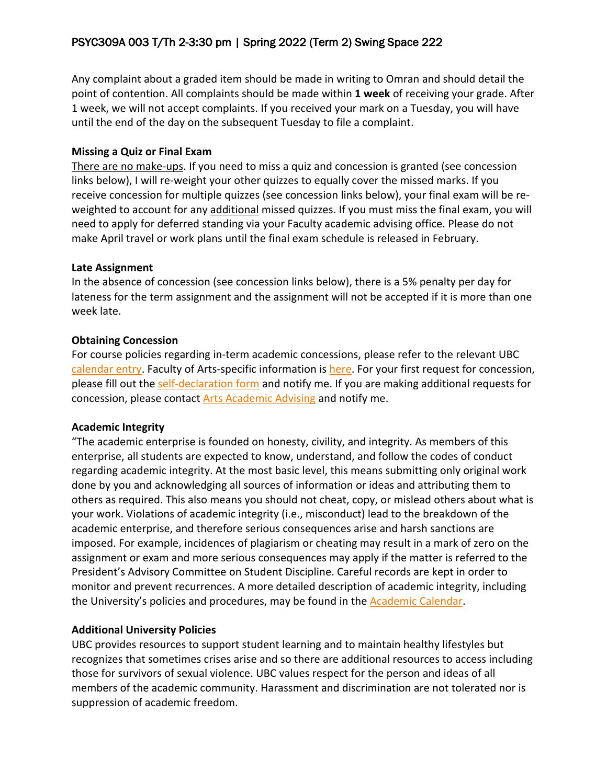Any complaint about a graded item should be made in writing to Omran and should detail the point of contention. All complaints should be made within **1 week** of receiving your grade. After 1 week, we will not accept complaints. If you received your mark on a Tuesday, you will have until the end of the day on the subsequent Tuesday to file a complaint.

#### **Missing a Quiz or Final Exam**

There are no make-ups. If you need to miss a quiz and concession is granted (see concession links below), I will re-weight your other quizzes to equally cover the missed marks. If you receive concession for multiple quizzes (see concession links below), your final exam will be reweighted to account for any additional missed quizzes. If you must miss the final exam, you will need to apply for deferred standing via your Faculty academic advising office. Please do not make April travel or work plans until the final exam schedule is released in February.

# **Late Assignment**

In the absence of concession (see concession links below), there is a 5% penalty per day for lateness for the term assignment and the assignment will not be accepted if it is more than one week late.

# **Obtaining Concession**

For course policies regarding in-term academic concessions, please refer to the relevant UBC calendar entry. Faculty of Arts-specific information is here. For your first request for concession, please fill out the self-declaration form and notify me. If you are making additional requests for concession, please contact Arts Academic Advising and notify me.

# **Academic Integrity**

"The academic enterprise is founded on honesty, civility, and integrity. As members of this enterprise, all students are expected to know, understand, and follow the codes of conduct regarding academic integrity. At the most basic level, this means submitting only original work done by you and acknowledging all sources of information or ideas and attributing them to others as required. This also means you should not cheat, copy, or mislead others about what is your work. Violations of academic integrity (i.e., misconduct) lead to the breakdown of the academic enterprise, and therefore serious consequences arise and harsh sanctions are imposed. For example, incidences of plagiarism or cheating may result in a mark of zero on the assignment or exam and more serious consequences may apply if the matter is referred to the President's Advisory Committee on Student Discipline. Careful records are kept in order to monitor and prevent recurrences. A more detailed description of academic integrity, including the University's policies and procedures, may be found in the Academic Calendar.

# **Additional University Policies**

UBC provides resources to support student learning and to maintain healthy lifestyles but recognizes that sometimes crises arise and so there are additional resources to access including those for survivors of sexual violence. UBC values respect for the person and ideas of all members of the academic community. Harassment and discrimination are not tolerated nor is suppression of academic freedom.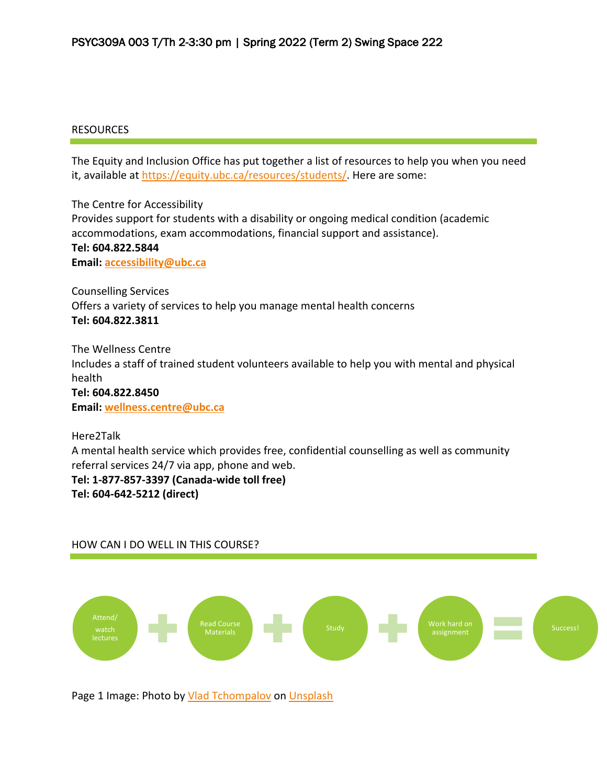#### RESOURCES

The Equity and Inclusion Office has put together a list of resources to help you when you need it, available at https://equity.ubc.ca/resources/students/. Here are some:

The Centre for Accessibility Provides support for students with a disability or ongoing medical condition (academic accommodations, exam accommodations, financial support and assistance). **Tel: 604.822.5844 Email: accessibility@ubc.ca**

Counselling Services Offers a variety of services to help you manage mental health concerns **Tel: 604.822.3811**

The Wellness Centre Includes a staff of trained student volunteers available to help you with mental and physical health **Tel: 604.822.8450 Email: wellness.centre@ubc.ca**

Here2Talk A mental health service which provides free, confidential counselling as well as community referral services 24/7 via app, phone and web. **Tel: 1-877-857-3397 (Canada-wide toll free) Tel: 604-642-5212 (direct)**

#### HOW CAN I DO WELL IN THIS COURSE?



Page 1 Image: Photo by Vlad Tchompalov on Unsplash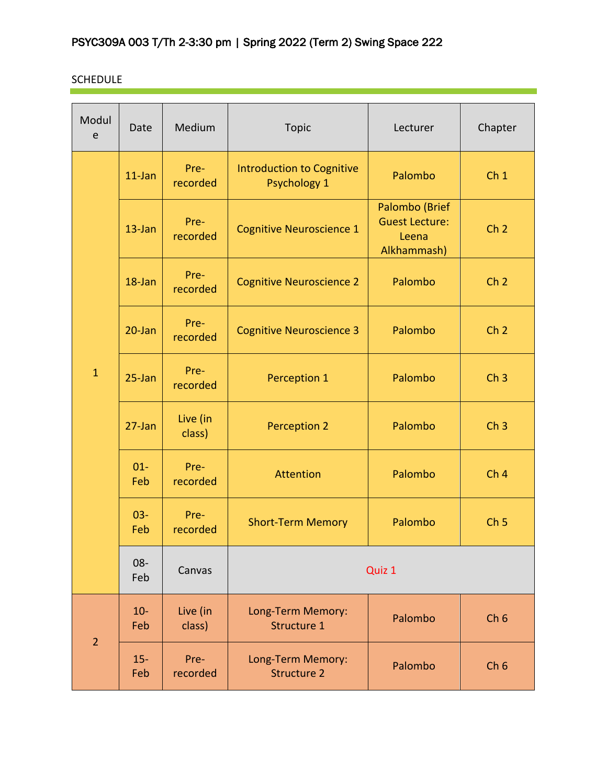# SCHEDULE

| Modul<br>e     | Date          | Medium             | <b>Topic</b>                                            | Lecturer                                                        | Chapter         |
|----------------|---------------|--------------------|---------------------------------------------------------|-----------------------------------------------------------------|-----------------|
| $\mathbf{1}$   | $11$ -Jan     | Pre-<br>recorded   | <b>Introduction to Cognitive</b><br><b>Psychology 1</b> | Palombo                                                         | Ch <sub>1</sub> |
|                | $13$ -Jan     | Pre-<br>recorded   | <b>Cognitive Neuroscience 1</b>                         | Palombo (Brief<br><b>Guest Lecture:</b><br>Leena<br>Alkhammash) | Ch <sub>2</sub> |
|                | 18-Jan        | Pre-<br>recorded   | <b>Cognitive Neuroscience 2</b>                         | Palombo                                                         | Ch <sub>2</sub> |
|                | $20$ -Jan     | Pre-<br>recorded   | <b>Cognitive Neuroscience 3</b>                         | Palombo                                                         | Ch <sub>2</sub> |
|                | $25 - Jan$    | Pre-<br>recorded   | Perception 1                                            | Palombo                                                         | Ch <sub>3</sub> |
|                | $27$ -Jan     | Live (in<br>class) | <b>Perception 2</b>                                     | Palombo                                                         | Ch <sub>3</sub> |
|                | $01 -$<br>Feb | Pre-<br>recorded   | <b>Attention</b>                                        | Palombo                                                         | Ch <sub>4</sub> |
|                | $03 -$<br>Feb | Pre-<br>recorded   | <b>Short-Term Memory</b>                                | Palombo                                                         | Ch <sub>5</sub> |
|                | 08-<br>Feb    | Canvas             | Quiz 1                                                  |                                                                 |                 |
| $\overline{2}$ | $10-$<br>Feb  | Live (in<br>class) | Long-Term Memory:<br>Structure 1                        | Palombo                                                         | Ch <sub>6</sub> |
|                | $15 -$<br>Feb | Pre-<br>recorded   | Long-Term Memory:<br><b>Structure 2</b>                 | Palombo                                                         | Ch <sub>6</sub> |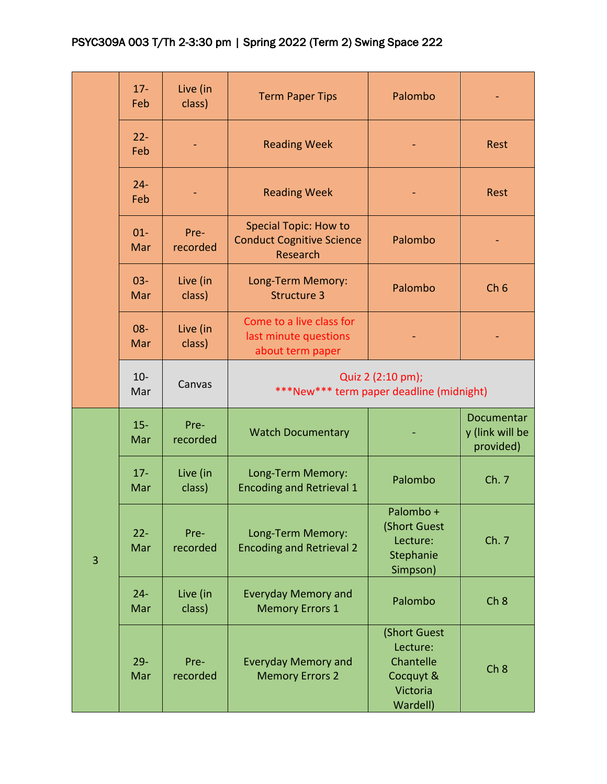|   | $17 -$<br>Feb | Live (in<br>class) | <b>Term Paper Tips</b>                                                       | Palombo                                                                    |                                            |
|---|---------------|--------------------|------------------------------------------------------------------------------|----------------------------------------------------------------------------|--------------------------------------------|
|   | $22 -$<br>Feb |                    | <b>Reading Week</b>                                                          |                                                                            | <b>Rest</b>                                |
|   | $24 -$<br>Feb |                    | <b>Reading Week</b>                                                          |                                                                            | <b>Rest</b>                                |
|   | $01 -$<br>Mar | Pre-<br>recorded   | <b>Special Topic: How to</b><br><b>Conduct Cognitive Science</b><br>Research | Palombo                                                                    |                                            |
|   | $03 -$<br>Mar | Live (in<br>class) | Long-Term Memory:<br><b>Structure 3</b>                                      | Palombo                                                                    | Ch <sub>6</sub>                            |
|   | 08-<br>Mar    | Live (in<br>class) | Come to a live class for<br>last minute questions<br>about term paper        |                                                                            |                                            |
|   | $10-$<br>Mar  | Canvas             | ***New*** term paper deadline (midnight)                                     | Quiz 2 (2:10 pm);                                                          |                                            |
| 3 | $15 -$<br>Mar | Pre-<br>recorded   | <b>Watch Documentary</b>                                                     |                                                                            | Documentar<br>y (link will be<br>provided) |
|   | $17 -$<br>Mar | Live (in<br>class) | Long-Term Memory:<br><b>Encoding and Retrieval 1</b>                         | Palombo                                                                    | Ch. 7                                      |
|   | $22 -$<br>Mar | Pre-<br>recorded   | Long-Term Memory:<br><b>Encoding and Retrieval 2</b>                         | Palombo +<br>(Short Guest<br>Lecture:<br>Stephanie<br>Simpson)             | Ch. 7                                      |
|   | $24 -$<br>Mar | Live (in<br>class) | <b>Everyday Memory and</b><br><b>Memory Errors 1</b>                         | Palombo                                                                    | Ch <sub>8</sub>                            |
|   | $29 -$<br>Mar | Pre-<br>recorded   | <b>Everyday Memory and</b><br><b>Memory Errors 2</b>                         | (Short Guest<br>Lecture:<br>Chantelle<br>Cocquyt &<br>Victoria<br>Wardell) | Ch <sub>8</sub>                            |